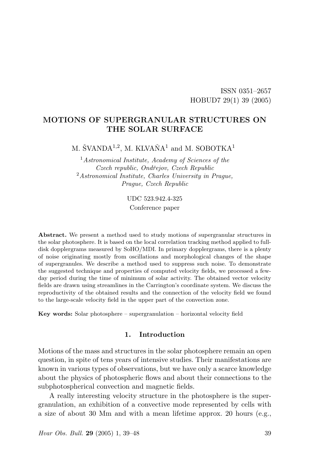# MOTIONS OF SUPERGRANULAR STRUCTURES ON THE SOLAR SURFACE

M. ŠVANDA<sup>1,2</sup>, M. KLVAŇA<sup>1</sup> and M. SOBOTKA<sup>1</sup>

 $1$ Astronomical Institute, Academy of Sciences of the Czech republic, Ondřejov, Czech Republic <sup>2</sup>Astronomical Institute, Charles University in Prague, Prague, Czech Republic

> UDC 523.942.4-325 Conference paper

Abstract. We present a method used to study motions of supergranular structures in the solar photosphere. It is based on the local correlation tracking method applied to fulldisk dopplergrams measured by SoHO/MDI. In primary dopplergrams, there is a plenty of noise originating mostly from oscillations and morphological changes of the shape of supergranules. We describe a method used to suppress such noise. To demonstrate the suggested technique and properties of computed velocity fields, we processed a fewday period during the time of minimum of solar activity. The obtained vector velocity fields are drawn using streamlines in the Carrington's coordinate system. We discuss the reproductivity of the obtained results and the connection of the velocity field we found to the large-scale velocity field in the upper part of the convection zone.

Key words: Solar photosphere – supergranulation – horizontal velocity field

# 1. Introduction

Motions of the mass and structures in the solar photosphere remain an open question, in spite of tens years of intensive studies. Their manifestations are known in various types of observations, but we have only a scarce knowledge about the physics of photospheric flows and about their connections to the subphotospherical convection and magnetic fields.

A really interesting velocity structure in the photosphere is the supergranulation, an exhibition of a convective mode represented by cells with a size of about 30 Mm and with a mean lifetime approx. 20 hours (e.g.,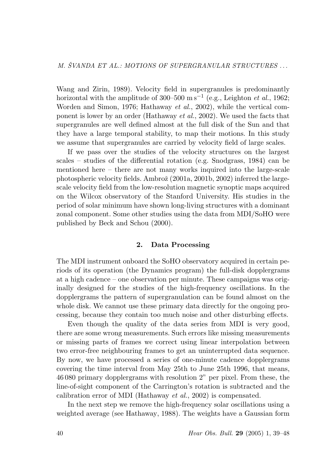Wang and Zirin, 1989). Velocity field in supergranules is predominantly horizontal with the amplitude of 300–500 m s<sup>-1</sup> (e.g., Leighton *et al.*, 1962; Worden and Simon, 1976; Hathaway *et al.*, 2002), while the vertical component is lower by an order (Hathaway et al., 2002). We used the facts that supergranules are well defined almost at the full disk of the Sun and that they have a large temporal stability, to map their motions. In this study we assume that supergranules are carried by velocity field of large scales.

If we pass over the studies of the velocity structures on the largest scales – studies of the differential rotation (e.g. Snodgrass,  $1984$ ) can be mentioned here – there are not many works inquired into the large-scale photospheric velocity fields. Ambroˇz (2001a, 2001b, 2002) inferred the largescale velocity field from the low-resolution magnetic synoptic maps acquired on the Wilcox observatory of the Stanford University. His studies in the period of solar minimum have shown long-living structures with a dominant zonal component. Some other studies using the data from MDI/SoHO were published by Beck and Schou (2000).

# 2. Data Processing

The MDI instrument onboard the SoHO observatory acquired in certain periods of its operation (the Dynamics program) the full-disk dopplergrams at a high cadence – one observation per minute. These campaigns was originally designed for the studies of the high-frequency oscillations. In the dopplergrams the pattern of supergranulation can be found almost on the whole disk. We cannot use these primary data directly for the ongoing processing, because they contain too much noise and other disturbing effects.

Even though the quality of the data series from MDI is very good, there are some wrong measurements. Such errors like missing measurements or missing parts of frames we correct using linear interpolation between two error-free neighbouring frames to get an uninterrupted data sequence. By now, we have processed a series of one-minute cadence dopplergrams covering the time interval from May 25th to June 25th 1996, that means, 46 080 primary dopplergrams with resolution 2" per pixel. From these, the line-of-sight component of the Carrington's rotation is subtracted and the calibration error of MDI (Hathaway et al., 2002) is compensated.

In the next step we remove the high-frequency solar oscillations using a weighted average (see Hathaway, 1988). The weights have a Gaussian form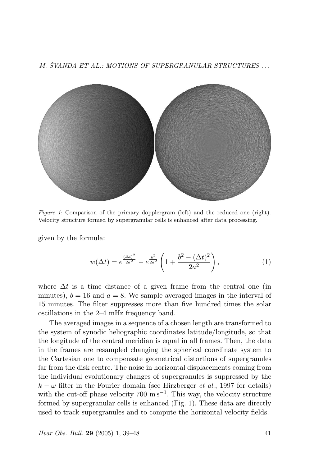M. ŠVANDA ET AL.: MOTIONS OF SUPERGRANULAR STRUCTURES ...



Figure 1: Comparison of the primary dopplergram (left) and the reduced one (right). Velocity structure formed by supergranular cells is enhanced after data processing.

given by the formula:

$$
w(\Delta t) = e^{\frac{(\Delta t)^2}{2a^2}} - e^{\frac{b^2}{2a^2}} \left( 1 + \frac{b^2 - (\Delta t)^2}{2a^2} \right), \tag{1}
$$

where  $\Delta t$  is a time distance of a given frame from the central one (in minutes),  $b = 16$  and  $a = 8$ . We sample averaged images in the interval of 15 minutes. The filter suppresses more than five hundred times the solar oscillations in the 2–4 mHz frequency band.

The averaged images in a sequence of a chosen length are transformed to the system of synodic heliographic coordinates latitude/longitude, so that the longitude of the central meridian is equal in all frames. Then, the data in the frames are resampled changing the spherical coordinate system to the Cartesian one to compensate geometrical distortions of supergranules far from the disk centre. The noise in horizontal displacements coming from the individual evolutionary changes of supergranules is suppressed by the  $k - \omega$  filter in the Fourier domain (see Hirzberger *et al.*, 1997 for details) with the cut-off phase velocity  $700 \text{ m s}^{-1}$ . This way, the velocity structure formed by supergranular cells is enhanced (Fig. 1). These data are directly used to track supergranules and to compute the horizontal velocity fields.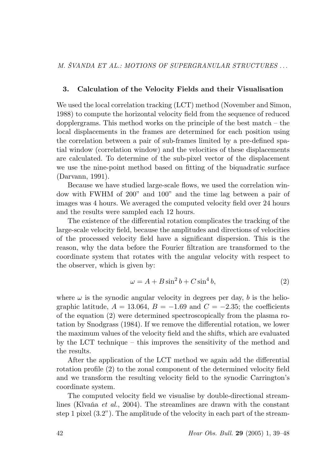### 3. Calculation of the Velocity Fields and their Visualisation

We used the local correlation tracking (LCT) method (November and Simon, 1988) to compute the horizontal velocity field from the sequence of reduced dopplergrams. This method works on the principle of the best match – the local displacements in the frames are determined for each position using the correlation between a pair of sub-frames limited by a pre-defined spatial window (correlation window) and the velocities of these displacements are calculated. To determine of the sub-pixel vector of the displacement we use the nine-point method based on fitting of the biquadratic surface (Darvann, 1991).

Because we have studied large-scale flows, we used the correlation window with FWHM of 200" and 100" and the time lag between a pair of images was 4 hours. We averaged the computed velocity field over 24 hours and the results were sampled each 12 hours.

The existence of the differential rotation complicates the tracking of the large-scale velocity field, because the amplitudes and directions of velocities of the processed velocity field have a significant dispersion. This is the reason, why the data before the Fourier filtration are transformed to the coordinate system that rotates with the angular velocity with respect to the observer, which is given by:

$$
\omega = A + B \sin^2 b + C \sin^4 b,\tag{2}
$$

where  $\omega$  is the synodic angular velocity in degrees per day, b is the heliographic latitude,  $A = 13.064$ ,  $B = -1.69$  and  $C = -2.35$ ; the coefficients of the equation (2) were determined spectroscopically from the plasma rotation by Snodgrass (1984). If we remove the differential rotation, we lower the maximum values of the velocity field and the shifts, which are evaluated by the LCT technique – this improves the sensitivity of the method and the results.

After the application of the LCT method we again add the differential rotation profile (2) to the zonal component of the determined velocity field and we transform the resulting velocity field to the synodic Carrington's coordinate system.

The computed velocity field we visualise by double-directional streamlines (Klvaňa et al., 2004). The streamlines are drawn with the constant step 1 pixel (3.2"). The amplitude of the velocity in each part of the stream-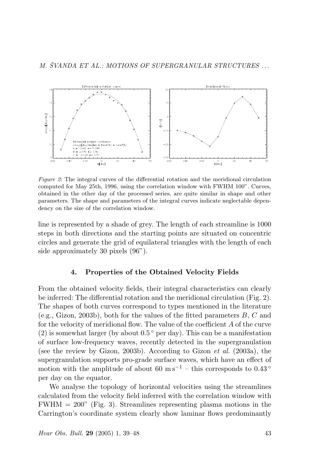

Figure 2: The integral curves of the differential rotation and the meridional circulation computed for May 25th, 1996, using the correlation window with FWHM 100". Curves, obtained in the other day of the processed series, are quite similar in shape and other parameters. The shape and parameters of the integral curves indicate neglectable dependency on the size of the correlation window.

line is represented by a shade of grey. The length of each streamline is 1000 steps in both directions and the starting points are situated on concentric circles and generate the grid of equilateral triangles with the length of each side approximately 30 pixels (96").

### 4. Properties of the Obtained Velocity Fields

From the obtained velocity fields, their integral characteristics can clearly be inferred: The differential rotation and the meridional circulation (Fig. 2). The shapes of both curves correspond to types mentioned in the literature (e.g., Gizon, 2003b), both for the values of the fitted parameters  $B, C$  and for the velocity of meridional flow. The value of the coefficient A of the curve (2) is somewhat larger (by about  $0.5^{\circ}$  per day). This can be a manifestation of surface low-frequency waves, recently detected in the supergranulation (see the review by Gizon, 2003b). According to Gizon et al. (2003a), the supergranulation supports pro-grade surface waves, which have an effect of motion with the amplitude of about 60 m s<sup>-1</sup> – this corresponds to 0.43 ° per day on the equator.

We analyse the topology of horizontal velocities using the streamlines calculated from the velocity field inferred with the correlation window with  $FWHM = 200$ " (Fig. 3). Streamlines representing plasma motions in the Carrington's coordinate system clearly show laminar flows predominantly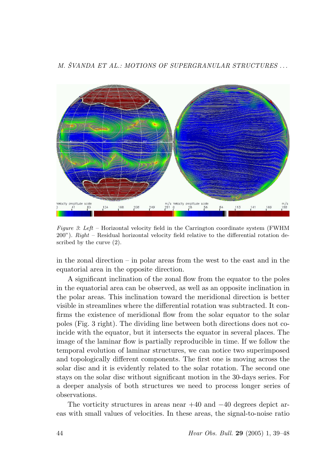



Figure 3: Left – Horizontal velocity field in the Carrington coordinate system (FWHM  $200"$ ). Right – Residual horizontal velocity field relative to the differential rotation described by the curve (2).

in the zonal direction – in polar areas from the west to the east and in the equatorial area in the opposite direction.

A significant inclination of the zonal flow from the equator to the poles in the equatorial area can be observed, as well as an opposite inclination in the polar areas. This inclination toward the meridional direction is better visible in streamlines where the differential rotation was subtracted. It confirms the existence of meridional flow from the solar equator to the solar poles (Fig. 3 right). The dividing line between both directions does not coincide with the equator, but it intersects the equator in several places. The image of the laminar flow is partially reproducible in time. If we follow the temporal evolution of laminar structures, we can notice two superimposed and topologically different components. The first one is moving across the solar disc and it is evidently related to the solar rotation. The second one stays on the solar disc without significant motion in the 30-days series. For a deeper analysis of both structures we need to process longer series of observations.

The vorticity structures in areas near +40 and −40 degrees depict areas with small values of velocities. In these areas, the signal-to-noise ratio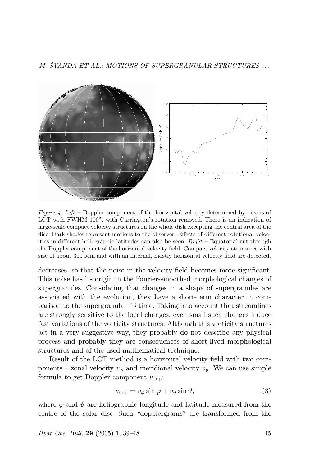

Figure 4: Left – Doppler component of the horizontal velocity determined by means of LCT with FWHM 100", with Carrington's rotation removed. There is an indication of large-scale compact velocity structures on the whole disk excepting the central area of the disc. Dark shades represent motions to the observer. Effects of different rotational velocities in different heliographic latitudes can also be seen.  $Right$  – Equatorial cut through the Doppler component of the horizontal velocity field. Compact velocity structures with size of about 300 Mm and with an internal, mostly horizontal velocity field are detected.

decreases, so that the noise in the velocity field becomes more significant. This noise has its origin in the Fourier-smoothed morphological changes of supergranules. Considering that changes in a shape of supergranules are associated with the evolution, they have a short-term character in comparison to the supergranular lifetime. Taking into account that streamlines are strongly sensitive to the local changes, even small such changes induce fast variations of the vorticity structures. Although this vorticity structures act in a very suggestive way, they probably do not describe any physical process and probably they are consequences of short-lived morphological structures and of the used mathematical technique.

Result of the LCT method is a horizontal velocity field with two components – zonal velocity  $v_{\varphi}$  and meridional velocity  $v_{\vartheta}$ . We can use simple formula to get Doppler component  $v_{\text{don}}$ :

$$
v_{\rm dop} = v_{\varphi} \sin \varphi + v_{\vartheta} \sin \vartheta, \tag{3}
$$

where  $\varphi$  and  $\vartheta$  are heliographic longitude and latitude measured from the centre of the solar disc. Such "dopplergrams" are transformed from the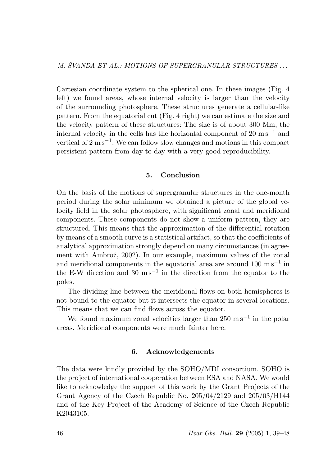Cartesian coordinate system to the spherical one. In these images (Fig. 4 left) we found areas, whose internal velocity is larger than the velocity of the surrounding photosphere. These structures generate a cellular-like pattern. From the equatorial cut (Fig. 4 right) we can estimate the size and the velocity pattern of these structures: The size is of about 300 Mm, the internal velocity in the cells has the horizontal component of 20 m s<sup> $-1$ </sup> and vertical of  $2 \text{ m s}^{-1}$ . We can follow slow changes and motions in this compact persistent pattern from day to day with a very good reproducibility.

## 5. Conclusion

On the basis of the motions of supergranular structures in the one-month period during the solar minimum we obtained a picture of the global velocity field in the solar photosphere, with significant zonal and meridional components. These components do not show a uniform pattern, they are structured. This means that the approximation of the differential rotation by means of a smooth curve is a statistical artifact, so that the coefficients of analytical approximation strongly depend on many circumstances (in agreement with Ambrož, 2002). In our example, maximum values of the zonal and meridional components in the equatorial area are around  $100 \text{ m s}^{-1}$  in the E-W direction and 30 m s<sup>-1</sup> in the direction from the equator to the poles.

The dividing line between the meridional flows on both hemispheres is not bound to the equator but it intersects the equator in several locations. This means that we can find flows across the equator.

We found maximum zonal velocities larger than  $250 \text{ m s}^{-1}$  in the polar areas. Meridional components were much fainter here.

## 6. Acknowledgements

The data were kindly provided by the SOHO/MDI consortium. SOHO is the project of international cooperation between ESA and NASA. We would like to acknowledge the support of this work by the Grant Projects of the Grant Agency of the Czech Republic No. 205/04/2129 and 205/03/H144 and of the Key Project of the Academy of Science of the Czech Republic K2043105.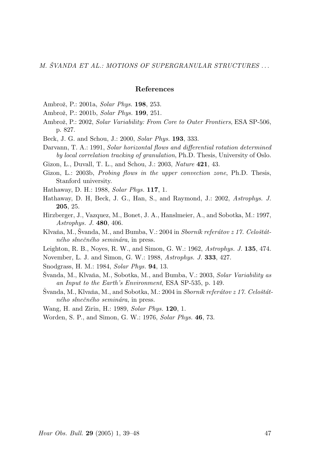#### References

Ambrož, P.: 2001a, Solar Phys. **198**, 253.

- Ambrož, P.: 2001b, Solar Phys. 199, 251.
- Ambrož, P.: 2002, Solar Variability: From Core to Outer Frontiers, ESA SP-506, p. 827.
- Beck, J. G. and Schou, J.: 2000, Solar Phys. 193, 333.
- Darvann, T. A.: 1991, Solar horizontal flows and differential rotation determined by local correlation tracking of granulation, Ph.D. Thesis, University of Oslo.

Gizon, L., Duvall, T. L., and Schou, J.: 2003, Nature 421, 43.

- Gizon, L.: 2003b, Probing flows in the upper convection zone, Ph.D. Thesis, Stanford university.
- Hathaway, D. H.: 1988, Solar Phys. 117, 1.
- Hathaway, D. H, Beck, J. G., Han, S., and Raymond, J.: 2002, Astrophys. J. 205, 25.
- Hirzberger, J., Vazquez, M., Bonet, J. A., Hanslmeier, A., and Sobotka, M.: 1997, Astrophys. J. 480, 406.
- Klvaňa, M., Švanda, M., and Bumba, V.:  $2004$  in  $Sborn\&$  referatov z 17. Celoštátného slnečného seminára, in press.
- Leighton, R. B., Noyes, R. W., and Simon, G. W.: 1962, Astrophys. J. 135, 474.
- November, L. J. and Simon, G. W.: 1988, Astrophys. J. 333, 427.
- Snodgrass, H. M.: 1984, Solar Phys. 94, 13.
- Svanda, M., Klvaňa, M., Sobotka, M., and Bumba, V.: 2003, Solar Variability as an Input to the Earth's Environment, ESA SP-535, p. 149.
- Svanda, M., Klvaňa, M., and Sobotka, M.: 2004 in Sborník referátov z 17. Celoštátného slnečného seminára, in press.
- Wang, H. and Zirin, H.: 1989, Solar Phys. **120**, 1.
- Worden, S. P., and Simon, G. W.: 1976, Solar Phys. 46, 73.